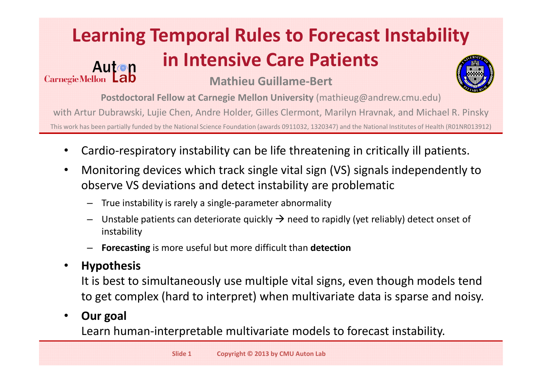#### **Learning Temporal Rules to Forecast Instability in Intensive Care Patients** Auton Carnegie Mellon Lab **Mathieu Guillame-Bert**



**Postdoctoral Fellow at Carnegie Mellon University** (mathieug@andrew.cmu.edu)

with Artur Dubrawski, Lujie Chen, Andre Holder, Gilles Clermont, Marilyn Hravnak, and Michael R. Pinsky

This work has been partially funded by the National Science Foundation (awards 0911032, 1320347) and the National Institutes of Health (R01NR013912)

- Cardio-respiratory instability can be life threatening in critically ill patients.
- Monitoring devices which track single vital sign (VS) signals independently to observe VS deviations and detect instability are problematic
	- True instability is rarely a single-parameter abnormality
	- Unstable patients can deteriorate quickly  $\rightarrow$  need to rapidly (yet reliably) detect onset of instability
	- **Forecasting** is more useful but more difficult than **detection**

### • **Hypothesis**

It is best to simultaneously use multiple vital signs, even though models tend to get complex (hard to interpret) when multivariate data is sparse and noisy.

### • **Our goal**

Learn human-interpretable multivariate models to forecast instability.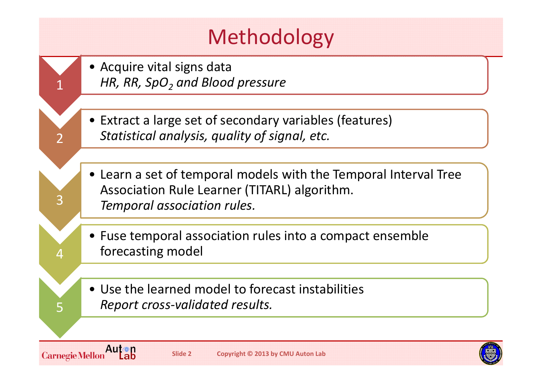

**Carnegie Mellon** 

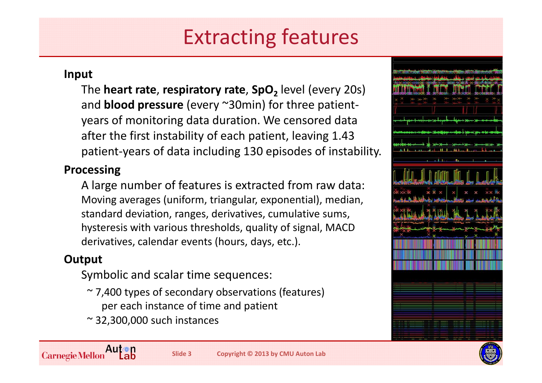# Extracting features

#### **Input**

The **heart rate**, **respiratory rate**, **SpO**<sub>2</sub> level (every 20s) and **blood pressure** (every ~30min) for three patientyears of monitoring data duration. We censored data after the first instability of each patient, leaving 1.43 patient-years of data including 130 episodes of instability.

#### **Processing**

A large number of features is extracted from raw data: Moving averages (uniform, triangular, exponential), median, standard deviation, ranges, derivatives, cumulative sums, hysteresis with various thresholds, quality of signal, MACD derivatives, calendar events (hours, days, etc.).

#### **Output**

Symbolic and scalar time sequences:

- ~ 7,400 types of secondary observations (features) per each instance of time and patient
- $\approx$  32,300,000 such instances



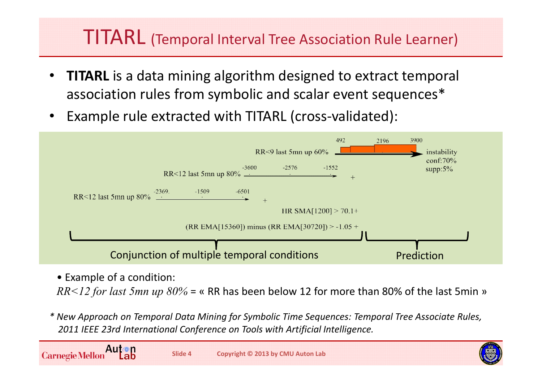### TITARL (Temporal Interval Tree Association Rule Learner)

- **TITARL** is a data mining algorithm designed to extract temporal association rules from symbolic and scalar event sequences\*
- Example rule extracted with TITARL (cross-validated):



• Example of a condition:

*RR<12 for last 5mn up 80%* = « RR has been below 12 for more than 80% of the last 5min »

*\* New Approach on Temporal Data Mining for Symbolic Time Sequences: Temporal Tree Associate Rules, 2011 IEEE 23rd International Conference on Tools with Artificial Intelligence.*

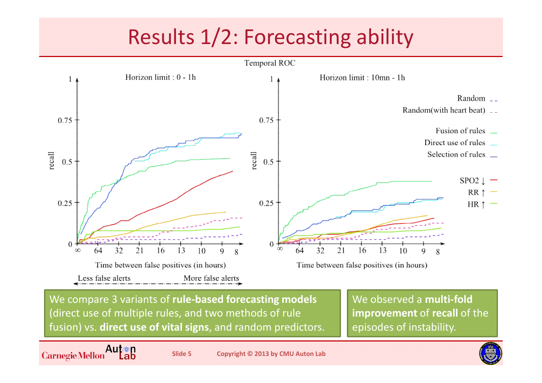# Results 1/2: Forecasting ability



We compare 3 variants of **rule-based forecasting models**  (direct use of multiple rules, and two methods of rule fusion) vs. **direct use of vital signs**, and random predictors. We observed a **multi-fold improvement** of **recall** of the episodes of instability.

Auton<br>Lab **Carnegie Mellon**